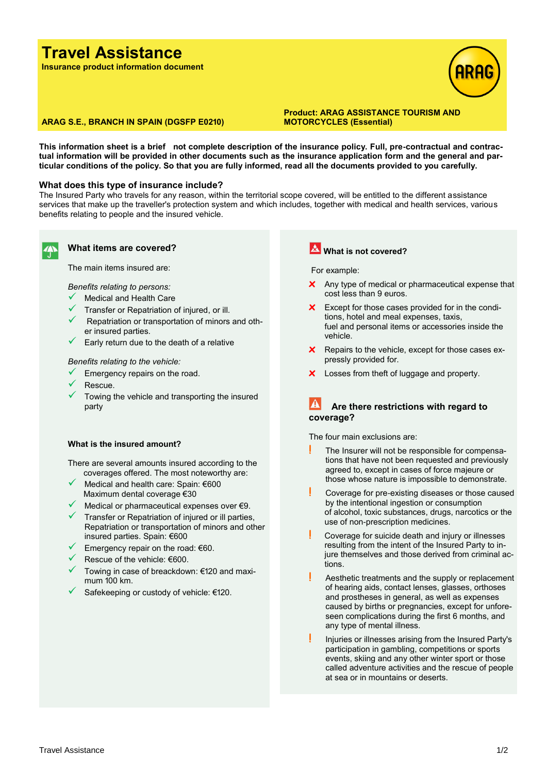# **Travel Assistance**

**Insurance product information document**



## **ARAG S.E., BRANCH IN SPAIN (DGSFP E0210)**

**Product: ARAG ASSISTANCE TOURISM AND MOTORCYCLES (Essential)**

**This information sheet is a brief not complete description of the insurance policy. Full, pre-contractual and contractual information will be provided in other documents such as the insurance application form and the general and particular conditions of the policy. So that you are fully informed, read all the documents provided to you carefully.**

### **What does this type of insurance include?**

The Insured Party who travels for any reason, within the territorial scope covered, will be entitled to the different assistance services that make up the traveller's protection system and which includes, together with medical and health services, various benefits relating to people and the insured vehicle.



#### **What items are covered?**

The main items insured are:

*Benefits relating to persons:*

- Medical and Health Care
- Transfer or Repatriation of injured, or ill.
- Repatriation or transportation of minors and other insured parties.
- $\checkmark$  Early return due to the death of a relative

#### *Benefits relating to the vehicle:*

- $\checkmark$  Emergency repairs on the road.
- Rescue.
- Towing the vehicle and transporting the insured party

### **What is the insured amount?**

There are several amounts insured according to the coverages offered. The most noteworthy are:

- Medical and health care: Spain: €600 Maximum dental coverage €30
- Medical or pharmaceutical expenses over  $€9$ .
- $\checkmark$  Transfer or Repatriation of injured or ill parties, Repatriation or transportation of minors and other insured parties. Spain: €600
- Emergency repair on the road: €60.
- Rescue of the vehicle: €600.
- Towing in case of breackdown: €120 and maximum 100 km.
- Safekeeping or custody of vehicle: €120.

## **What is not covered?**

For example:

- **x** Any type of medical or pharmaceutical expense that cost less than 9 euros.
- **x** Except for those cases provided for in the conditions, hotel and meal expenses, taxis, fuel and personal items or accessories inside the vehicle.
- **x** Repairs to the vehicle, except for those cases expressly provided for.
- **x** Losses from theft of luggage and property.

## **Are there restrictions with regard to coverage?**

The four main exclusions are:

- **!** The Insurer will not be responsible for compensations that have not been requested and previously agreed to, except in cases of force majeure or those whose nature is impossible to demonstrate.
- **!** Coverage for pre-existing diseases or those caused by the intentional ingestion or consumption of alcohol, toxic substances, drugs, narcotics or the use of non-prescription medicines.
- **!** Coverage for suicide death and injury or illnesses resulting from the intent of the Insured Party to injure themselves and those derived from criminal actions.
- **!** Aesthetic treatments and the supply or replacement of hearing aids, contact lenses, glasses, orthoses and prostheses in general, as well as expenses caused by births or pregnancies, except for unforeseen complications during the first 6 months, and any type of mental illness.
- **!** Injuries or illnesses arising from the Insured Party's participation in gambling, competitions or sports events, skiing and any other winter sport or those called adventure activities and the rescue of people at sea or in mountains or deserts.